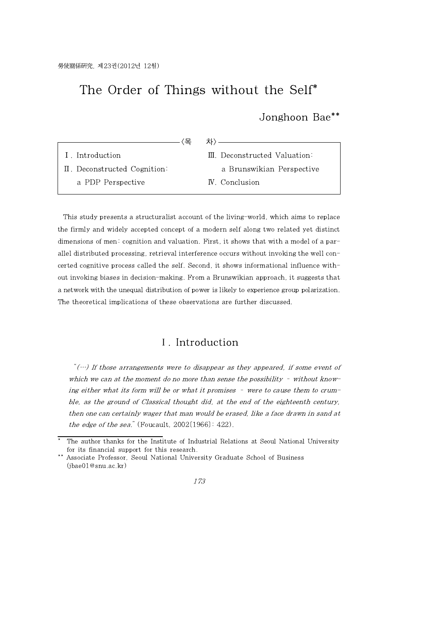# The Order of Things without the Self\*

Jonghoon Bae\*\*

| I. Introduction              | III. Deconstructed Valuation: |
|------------------------------|-------------------------------|
| II. Deconstructed Cognition: | a Brunswikian Perspective     |
| a PDP Perspective            | <b>N.</b> Conclusion          |

This study presents a structuralist account of the living-world, which aims to replace the firmly and widely accepted concept of a modern self along two related yet distinct dimensions of men: cognition and valuation. First, it shows that with a model of a parallel distributed processing, retrieval interference occurs without invoking the well concerted cognitive process called the self. Second, it shows informational influence without invoking biases in decision-making. From a Brunswikian approach, it suggests that a network with the unequal distribution of power is likely to experience group polarization. The theoretical implications of these observations are further discussed.

## Ⅰ. Introduction

" $(\cdots)$  If those arrangements were to disappear as they appeared, if some event of which we can at the moment do no more than sense the possibility  $-$  without knowing either what its form will be or what it promises – were to cause them to crumble, as the ground of Classical thought did, at the end of the eighteenth century, then one can certainly wager that man would be erased, like a face drawn in sand at the edge of the sea." (Foucault,  $2002[1966]$ :  $422$ ).

#### 173

The author thanks for the Institute of Industrial Relations at Seoul National University for its financial support for this research.

Associate Professor, Seoul National University Graduate School of Business (jbae01@snu.ac.kr)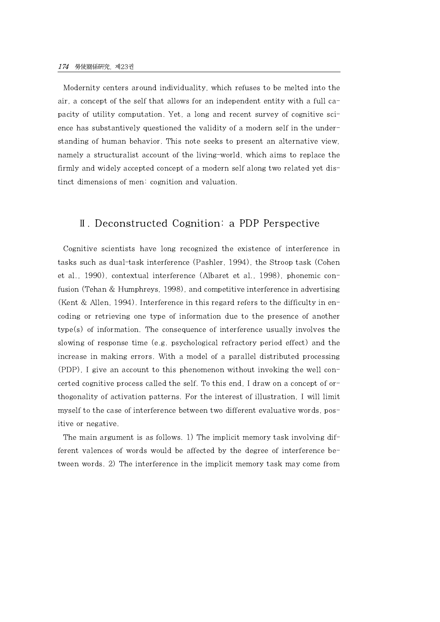Modernity centers around individuality, which refuses to be melted into the air, a concept of the self that allows for an independent entity with a full capacity of utility computation. Yet, a long and recent survey of cognitive science has substantively questioned the validity of a modern self in the understanding of human behavior. This note seeks to present an alternative view, namely a structuralist account of the living-world, which aims to replace the firmly and widely accepted concept of a modern self along two related yet distinct dimensions of men: cognition and valuation.

### Ⅱ. Deconstructed Cognition: a PDP Perspective

Cognitive scientists have long recognized the existence of interference in tasks such as dual-task interference (Pashler, 1994), the Stroop task (Cohen et al., 1990), contextual interference (Albaret et al., 1998), phonemic confusion (Tehan & Humphreys, 1998), and competitive interference in advertising (Kent & Allen, 1994). Interference in this regard refers to the difficulty in encoding or retrieving one type of information due to the presence of another  $type(s)$  of information. The consequence of interference usually involves the slowing of response time (e.g. psychological refractory period effect) and the increase in making errors. With a model of a parallel distributed processing (PDP), I give an account to this phenomenon without invoking the well concerted cognitive process called the self. To this end, I draw on a concept of orthogonality of activation patterns. For the interest of illustration, I will limit myself to the case of interference between two different evaluative words, positive or negative.

The main argument is as follows. 1) The implicit memory task involving different valences of words would be affected by the degree of interference between words. 2) The interference in the implicit memory task may come from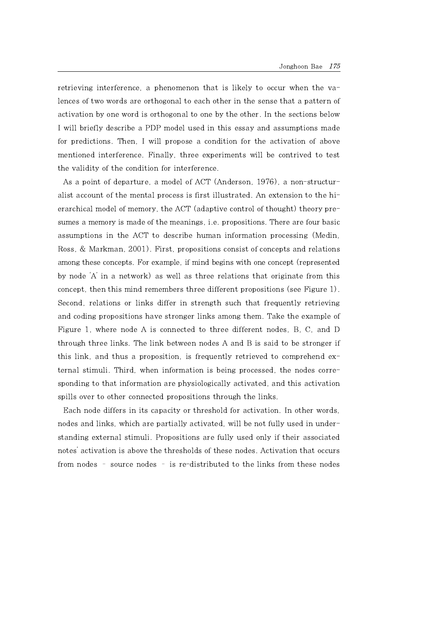retrieving interference, a phenomenon that is likely to occur when the valences of two words are orthogonal to each other in the sense that a pattern of activation by one word is orthogonal to one by the other. In the sections below I will briefly describe a PDP model used in this essay and assumptions made for predictions. Then, I will propose a condition for the activation of above mentioned interference. Finally, three experiments will be contrived to test the validity of the condition for interference.

As a point of departure, a model of ACT (Anderson, 1976), a non-structuralist account of the mental process is first illustrated. An extension to the hierarchical model of memory, the ACT (adaptive control of thought) theory presumes a memory is made of the meanings, i.e. propositions. There are four basic assumptions in the ACT to describe human information processing (Medin, Ross, & Markman, 2001). First, propositions consist of concepts and relations among these concepts. For example, if mind begins with one concept (represented by node 'A' in a network) as well as three relations that originate from this concept, then this mind remembers three different propositions (see Figure 1). Second, relations or links differ in strength such that frequently retrieving and coding propositions have stronger links among them. Take the example of Figure 1, where node A is connected to three different nodes, B, C, and D through three links. The link between nodes A and B is said to be stronger if this link, and thus a proposition, is frequently retrieved to comprehend external stimuli. Third, when information is being processed, the nodes corresponding to that information are physiologically activated, and this activation spills over to other connected propositions through the links.

Each node differs in its capacity or threshold for activation. In other words, nodes and links, which are partially activated, will be not fully used in understanding external stimuli. Propositions are fully used only if their associated notes' activation is above the thresholds of these nodes. Activation that occurs from nodes – source nodes – is re-distributed to the links from these nodes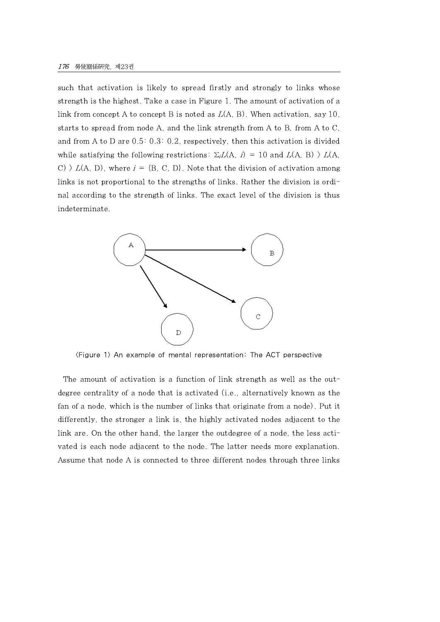such that activation is likely to spread firstly and strongly to links whose strength is the highest. Take a case in Figure 1. The amount of activation of a link from concept A to concept B is noted as  $L(A, B)$ . When activation, say 10, starts to spread from node A, and the link strength from A to B, from A to C, and from A to D are 0.5: 0.3: 0.2, respectively, then this activation is divided while satisfying the following restrictions:  $\Sigma_i L(A, i) = 10$  and  $L(A, B) > L(A, i)$ C)  $\geq L(A, D)$ , where  $i = {B, C, D}$ . Note that the division of activation among links is not proportional to the strengths of links. Rather the division is ordinal according to the strength of links. The exact level of the division is thus indeterminate.



<Figure 1> An example of mental representation: The ACT perspective

The amount of activation is a function of link strength as well as the outdegree centrality of a node that is activated (i.e., alternatively known as the fan of a node, which is the number of links that originate from a node). Put it differently, the stronger a link is, the highly activated nodes adjacent to the link are. On the other hand, the larger the outdegree of a node, the less activated is each node adjacent to the node. The latter needs more explanation. Assume that node A is connected to three different nodes through three links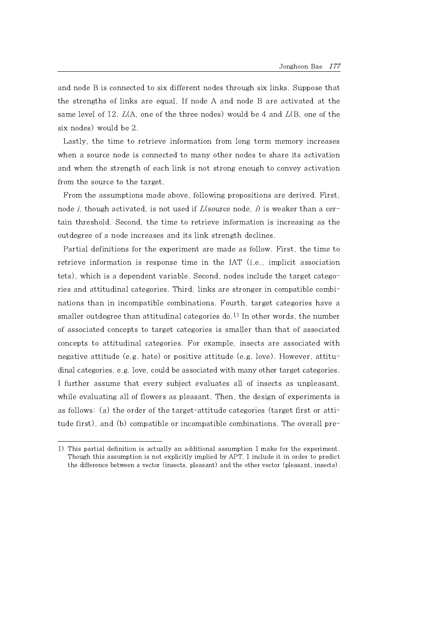and node B is connected to six different nodes through six links. Suppose that the strengths of links are equal. If node A and node B are activated at the same level of 12,  $L(A)$ , one of the three nodes) would be 4 and  $L(B)$ , one of the six nodes) would be 2.

Lastly, the time to retrieve information from long term memory increases when a source node is connected to many other nodes to share its activation and when the strength of each link is not strong enough to convey activation from the source to the target.

From the assumptions made above, following propositions are derived. First, node *i*, though activated, is not used if  $L(\text{source node}, i)$  is weaker than a certain threshold. Second, the time to retrieve information is increasing as the outdegree of a node increases and its link strength declines.

Partial definitions for the experiment are made as follow. First, the time to retrieve information is response time in the IAT (i.e., implicit association tets), which is a dependent variable. Second, nodes include the target categories and attitudinal categories. Third, links are stronger in compatible combinations than in incompatible combinations. Fourth, target categories have a smaller outdegree than attitudinal categories  $d_0$ <sup>1)</sup> In other words, the number of associated concepts to target categories is smaller than that of associated concepts to attitudinal categories. For example, insects are associated with negative attitude (e.g. hate) or positive attitude (e.g. love). However, attitudinal categories, e.g. love, could be associated with many other target categories. I further assume that every subject evaluates all of insects as unpleasant, while evaluating all of flowers as pleasant. Then, the design of experiments is as follows: (a) the order of the target-attitude categories (target first or attitude first), and (b) compatible or incompatible combinations. The overall pre-

<sup>1)</sup> This partial definition is actually an additional assumption I make for the experiment. Though this assumption is not explicitly implied by APT, I include it in order to predict the difference between a vector (insects, pleasant) and the other vector (pleasant, insects).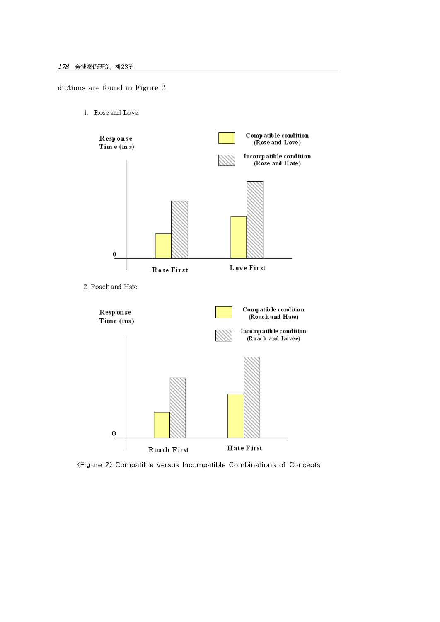dictions are found in Figure 2.

1. Rose and Love.



<Figure 2> Compatible versus Incompatible Combinations of Concepts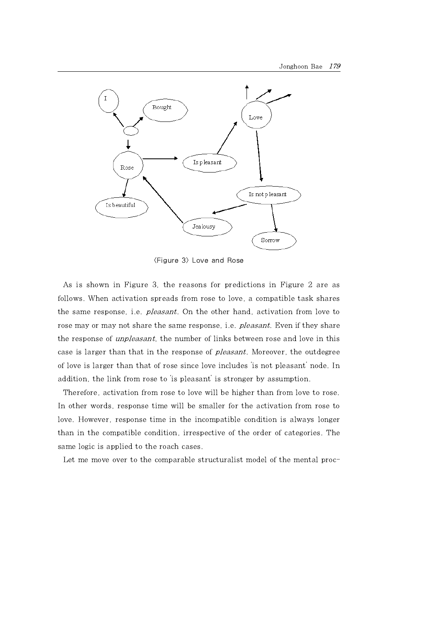

<Figure 3> Love and Rose

As is shown in Figure 3, the reasons for predictions in Figure 2 are as follows. When activation spreads from rose to love, a compatible task shares the same response, i.e. pleasant. On the other hand, activation from love to rose may or may not share the same response, i.e. *pleasant*. Even if they share the response of unpleasant, the number of links between rose and love in this case is larger than that in the response of pleasant. Moreover, the outdegree of love is larger than that of rose since love includes 'is not pleasant' node. In addition, the link from rose to 'is pleasant' is stronger by assumption.

Therefore, activation from rose to love will be higher than from love to rose. In other words, response time will be smaller for the activation from rose to love. However, response time in the incompatible condition is always longer than in the compatible condition, irrespective of the order of categories. The same logic is applied to the roach cases.

Let me move over to the comparable structuralist model of the mental proc-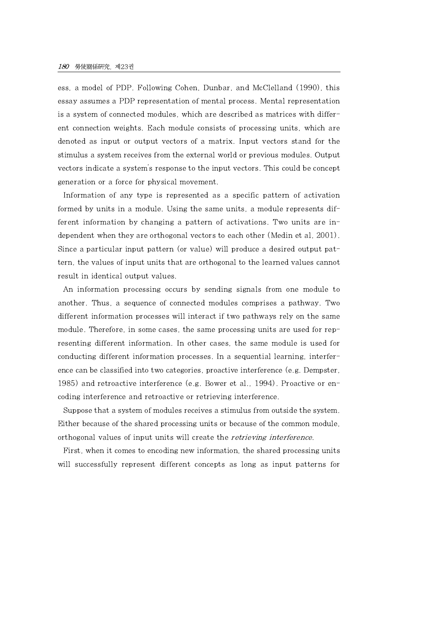ess, a model of PDP. Following Cohen, Dunbar, and McClelland (1990), this essay assumes a PDP representation of mental process. Mental representation is a system of connected modules, which are described as matrices with different connection weights. Each module consists of processing units, which are denoted as input or output vectors of a matrix. Input vectors stand for the stimulus a system receives from the external world or previous modules. Output vectors indicate a system's response to the input vectors. This could be concept generation or a force for physical movement.

Information of any type is represented as a specific pattern of activation formed by units in a module. Using the same units, a module represents different information by changing a pattern of activations. Two units are independent when they are orthogonal vectors to each other (Medin et al, 2001). Since a particular input pattern (or value) will produce a desired output pattern, the values ofinput units that are orthogonal to the learned values cannot result in identical output values.

An information processing occurs by sending signals from one module to another. Thus, a sequence of connected modules comprises a pathway. Two different information processes will interact if two pathways rely on the same module. Therefore, in some cases, the same processing units are used for representing different information. In other cases, the same module is used for conducting different information processes. In a sequential learning, interference can be classified into two categories, proactive interference (e.g. Dempster, 1985) and retroactive interference (e.g. Bower et al., 1994). Proactive or encoding interference and retroactive or retrieving interference.

Suppose that a system of modules receives a stimulus from outside the system. Either because of the shared processing units or because of the common module, orthogonal values of input units will create the *retrieving interference*.

First, when it comes to encoding new information, the shared processing units will successfully represent different concepts as long as input patterns for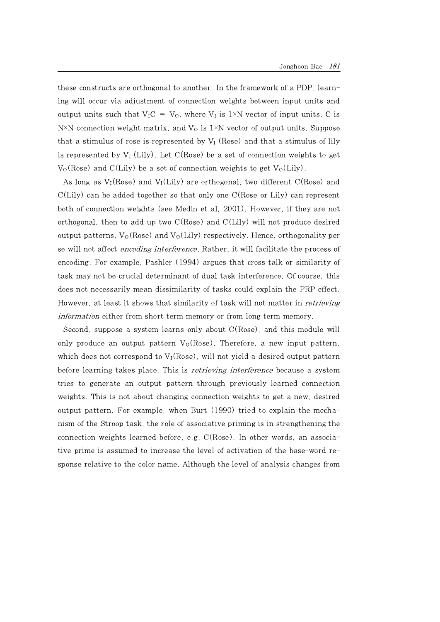these constructs are orthogonal to another. In the framework of a PDP, learning will occur via adjustment of connection weights between input units and output units such that  $V_{I}C = V_{O}$ , where  $V_{I}$  is 1×N vector of input units, C is N<sup>×</sup>N connection weight matrix, and  $V_0$  is 1<sup>×</sup>N vector of output units. Suppose that a stimulus of rose is represented by  $V_I$  (Rose) and that a stimulus of lily is represented by  $V_I$  (Lily). Let  $C(Rose)$  be a set of connection weights to get  $V_0$ (Rose) and C(Lily) be a set of connection weights to get  $V_0$ (Lily).

As long as  $V_I(Rose)$  and  $V_I(Lily)$  are orthogonal, two different  $C(Rose)$  and C(Lily) can be added together so that only one C(Rose or Lily) can represent both of connection weights (see Medin et al, 2001). However, if they are not orthogonal, then to add up two  $C(Rose)$  and  $C(Lily)$  will not produce desired output patterns,  $V_0$ (Rose) and  $V_0$ (Lily) respectively. Hence, orthogonality per se will not affect encoding interference. Rather, it will facilitate the process of encoding. For example, Pashler (1994) argues that cross talk or similarity of task may not be crucial determinant of dual task interference. Of course, this does not necessarily mean dissimilarity of tasks could explain the PRP effect. However, at least it shows that similarity of task will not matter in *retrieving* information either from short term memory or from long term memory.

Second, suppose a system learns only about C(Rose), and this module will only produce an output pattern  $V_0(Rose)$ . Therefore, a new input pattern, which does not correspond to  $V_I$ (Rose), will not yield a desired output pattern before learning takes place. This is *retrieving interference* because a system tries to generate an output pattern through previously learned connection weights. This is not about changing connection weights to get a new, desired output pattern. For example, when Burt (1990) tried to explain the mechanism of the Stroop task, the role of associative priming is in strengthening the connection weights learned before, e.g. C(Rose). In other words, an associative prime is assumed to increase the level of activation of the base-word response relative to the color name. Although the level of analysis changes from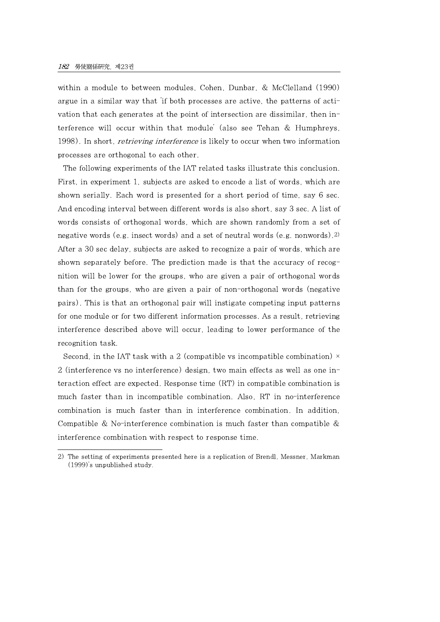within a module to between modules, Cohen, Dunbar, & McClelland (1990) argue in a similar way that 'if both processes are active, the patterns of activation that each generates at the point of intersection are dissimilar, then interference will occur within that module' (also see Tehan & Humphreys, 1998). In short, *retrieving interference* is likely to occur when two information processes are orthogonal to each other.

The following experiments of the IAT related tasks illustrate this conclusion. First, in experiment 1, subjects are asked to encode a list of words, which are shown serially. Each word is presented for a short period of time, say 6 sec. And encoding interval between different words is also short, say 3 sec. A list of words consists of orthogonal words, which are shown randomly from a set of negative words (e.g. insect words) and a set of neutral words (e.g. nonwords).2) After a 30 sec delay, subjects are asked to recognize a pair of words, which are shown separately before. The prediction made is that the accuracy of recognition will be lower for the groups, who are given a pair of orthogonal words than for the groups, who are given a pair of non-orthogonal words (negative pairs). This is that an orthogonal pair will instigate competing input patterns for one module or for two different information processes. As a result, retrieving interference described above will occur, leading to lower performance of the recognition task.

Second, in the IAT task with a 2 (compatible vs incompatible combination)  $\times$ 2 (interference vs no interference) design, two main effects as well as one interaction effect are expected. Response time (RT) in compatible combination is much faster than in incompatible combination. Also, RT in no-interference combination is much faster than in interference combination. In addition, Compatible & No-interference combination is much faster than compatible  $\&$ interference combination with respect to response time.

<sup>2)</sup> The setting of experiments presented here is a replication of Brendl, Messner, Markman (1999)'s unpublished study.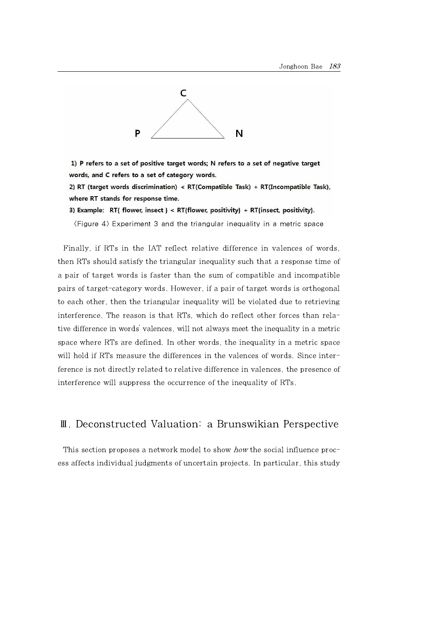

1) P refers to a set of positive target words; N refers to a set of negative target words, and C refers to a set of category words.

2) RT (target words discrimination) < RT(Compatible Task) + RT(Incompatible Task), where RT stands for response time.

3) Example: RT{ flower, insect } < RT{flower, positivity} + RT{insect, positivity}.

 $\langle$ Figure 4 $\rangle$  Experiment 3 and the triangular inequality in a metric space

Finally, if RTs in the IAT reflect relative difference in valences of words, then RTs should satisfy the triangular inequality such that a response time of a pair of target words is faster than the sum of compatible and incompatible pairs of target-category words. However, if a pair of target words is orthogonal to each other, then the triangular inequality will be violated due to retrieving interference. The reason is that RTs, which do reflect other forces than relative difference in words' valences, will not always meet the inequality in a metric space where RTs are defined. In other words, the inequality in a metric space will hold if RTs measure the differences in the valences of words. Since interference is not directly related to relative difference in valences, the presence of interference will suppress the occurrence of the inequality of RTs.

## Ⅲ. Deconstructed Valuation: a Brunswikian Perspective

This section proposes a network model to show *how* the social influence process affects individual judgments of uncertain projects. In particular, this study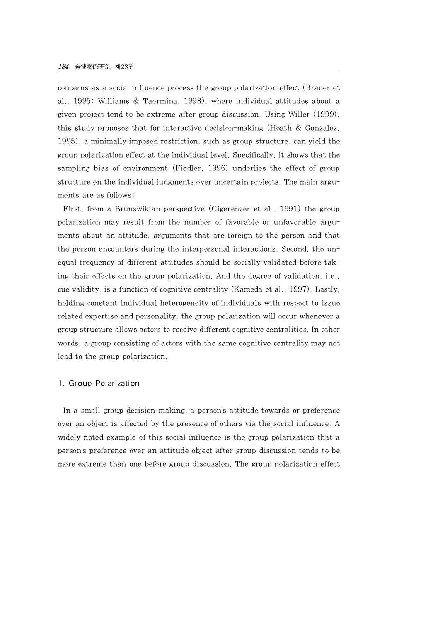concerns as a social influence process the group polarization effect (Brauer et al., 1995; Williams & Taormina, 1993), where individual attitudes about a given project tend to be extreme after group discussion. Using Willer (1999), this study proposes that for interactive decision-making (Heath & Gonzalez, 1995), a minimally imposed restriction, such as group structure, can yield the group polarization effect at the individual level. Specifically, it shows that the sampling bias of environment (Fiedler, 1996) underlies the effect of group structure on the individual judgments over uncertain projects. The main arguments are as follows:

First, from a Brunswikian perspective (Gigerenzer et al., 1991) the group polarization may result from the number of favorable or unfavorable arguments about an attitude, arguments that are foreign to the person and that the person encounters during the interpersonal interactions. Second, the unequal frequency of different attitudes should be socially validated before taking their effects on the group polarization. And the degree of validation, i.e., cue validity, is a function of cognitive centrality (Kameda et al., 1997). Lastly, holding constant individual heterogeneity of individuals with respect to issue related expertise and personality, the group polarization will occur whenever a group structure allows actors to receive different cognitive centralities. In other words, a group consisting of actors with the same cognitive centrality may not lead to the group polarization.

#### 1. Group Polarization

In a small group decision-making, a person's attitude towards or preference over an object is affected by the presence of others via the social influence. A widely noted example of this social influence is the group polarization that a person's preference over an attitude object after group discussion tends to be more extreme than one before group discussion. The group polarization effect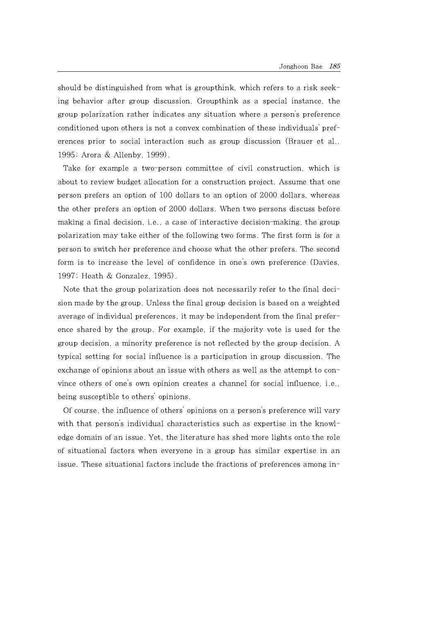should be distinguished from what is groupthink, which refers to a risk seeking behavior after group discussion. Groupthink as a special instance, the group polarization rather indicates any situation where a person's preference conditioned upon others is not a convex combination of these individuals' preferences prior to social interaction such as group discussion (Brauer et al., 1995; Arora & Allenby,1999).

Take for example a two-person committee of civil construction, which is about to review budget allocation for a construction project. Assume that one person prefers an option of 100 dollars to an option of 2000 dollars, whereas the other prefers an option of 2000 dollars. When two persons discuss before making a final decision, i.e., a case of interactive decision-making, the group polarization may take either of the following two forms. The first form is for a person to switch her preference and choose what the other prefers. The second form is to increase the level of confidence in one's own preference (Davies, 1997; Heath & Gonzalez, 1995).

Note that the group polarization does not necessarily refer to the final decision made by the group. Unless the final group decision is based on a weighted average of individual preferences, it may be independent from the final preference shared by the group. For example, if the majority vote is used for the group decision, a minority preference is not reflected by the group decision. A typical setting for social influence is a participation in group discussion. The exchange of opinions about an issue with others as well as the attempt to convince others of one's own opinion creates a channel for social influence, i.e., being susceptible to others' opinions.

Of course, the influence of others' opinions on a person's preference will vary with that person's individual characteristics such as expertise in the knowledge domain of an issue. Yet, the literature has shed more lights onto the role of situational factors when everyone in a group has similar expertise in an issue. These situational factors include the fractions of preferences among in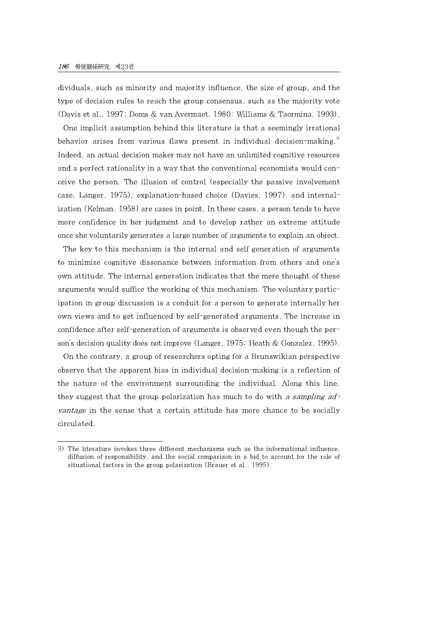dividuals, such as minority and majority influence, the size of group, and the type of decision rules to reach the group consensus, such as the majority vote (Davis et al., 1997; Doms & van Avermaet, 1980: Williams & Taormina, 1993).

One implicit assumption behind this literature is that a seemingly irrational behavior arises from various flaws present in individual decision-making.<sup>3)</sup> Indeed, an actual decision maker may not have an unlimited cognitive resources and a perfect rationality in a way that the conventional economists would conceive the person. The illusion of control (especially the passive involvement case, Langer, 1975), explanation-based choice (Davies, 1997), and internalization (Kelman, 1958) are cases in point. In these cases, a person tends to have more confidence in her judgment and to develop rather an extreme attitude once she voluntarily generates a large number of arguments to explain an object.

The key to this mechanism is the internal and self generation of arguments to minimize cognitive dissonance between information from others and one's own attitude. The internal generation indicates that the mere thought of these arguments would suffice the working of this mechanism. The voluntary participation in group discussion is a conduit for a person to generate internally her own views and to get influenced by self-generated arguments. The increase in confidence after self-generation of arguments is observed even though the person's decision quality does not improve (Langer, 1975; Heath & Gonzalez, 1995).

On the contrary, a group of researchers opting for a Brunswikian perspective observe that the apparent bias in individual decision-making is a reflection of the nature of the environment surrounding the individual. Along this line, they suggest that the group polarization has much to do with a sampling  $ad$ vantage in the sense that a certain attitude has more chance to be socially circulated.

<sup>3)</sup> The literature invokes three different mechanisms such as the informational influence, diffusion of responsibility, and the social comparison in a bid to account for the role of situational factors in the group polarization (Brauer et al., 1995).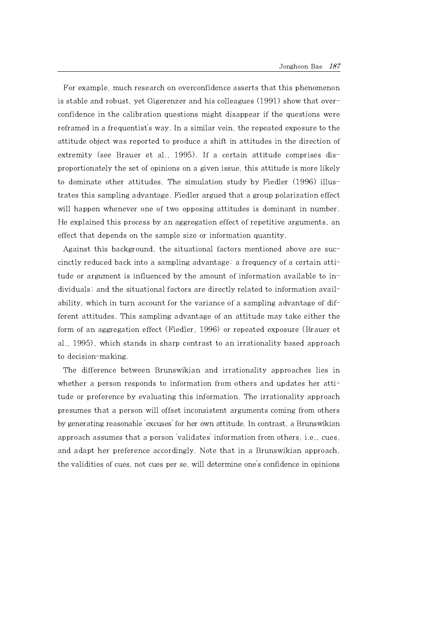For example, much research on overconfidence asserts that this phenomenon is stable and robust, yet Gigerenzer and his colleagues (1991) show that overconfidence in the calibration questions might disappear if the questions were reframed in a frequentist's way. In a similar vein, the repeated exposure to the attitude object was reported to produce a shift in attitudes in the direction of extremity (see Brauer et al., 1995). If a certain attitude comprises disproportionately the set of opinions on a given issue, this attitude is more likely to dominate other attitudes. The simulation study by Fiedler (1996) illustrates this sampling advantage. Fiedler argued that a group polarization effect will happen whenever one of two opposing attitudes is dominant in number. He explained this process by an aggregation effect of repetitive arguments, an effect that depends on the sample size or information quantity.

Against this background, the situational factors mentioned above are succinctly reduced back into a sampling advantage: a frequency of a certain attitude or argument is influenced by the amount of information available to individuals; and the situational factors are directly related to information availability, which in turn account for the variance of a sampling advantage of different attitudes. This sampling advantage of an attitude may take either the form of an aggregation effect (Fiedler, 1996) or repeated exposure (Brauer et al., 1995), which stands in sharp contrast to an irrationality based approach to decision-making.

The difference between Brunswikian and irrationality approaches lies in whether a person responds to information from others and updates her attitude or preference by evaluating this information. The irrationality approach presumes that a person will offset inconsistent arguments coming from others by generating reasonable 'excuses' for her own attitude. In contrast, a Brunswikian approach assumes that a person 'validates' information from others, i.e., cues, and adapt her preference accordingly. Note that in a Brunswikian approach, the validities of cues, not cues per se, will determine one's confidence in opinions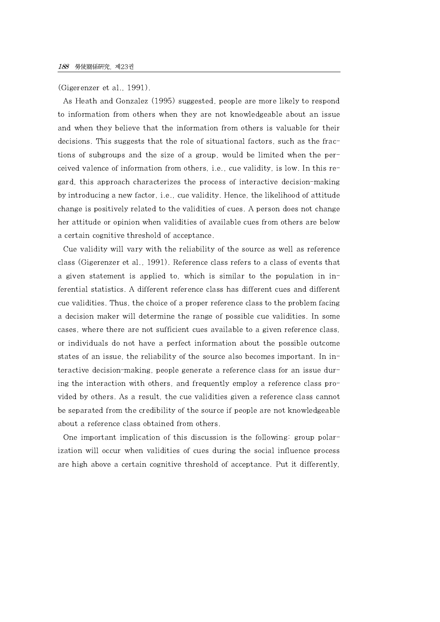(Gigerenzer et al., 1991).

As Heath and Gonzalez (1995) suggested, people are more likely to respond to information from others when they are not knowledgeable about an issue and when they believe that the information from others is valuable for their decisions. This suggests that the role of situational factors, such as the fractions of subgroups and the size of a group, would be limited when the perceived valence of information from others, i.e., cue validity, is low. In this regard, this approach characterizes the process of interactive decision-making by introducing a new factor, i.e., cue validity. Hence, the likelihood of attitude change is positively related to the validities of cues. A person does not change her attitude or opinion when validities of available cues from others are below a certain cognitive threshold of acceptance.

Cue validity will vary with the reliability of the source as well as reference class (Gigerenzer et al., 1991). Reference class refers to a class of events that a given statement is applied to, which is similar to the population in inferential statistics. A different reference class has different cues and different cue validities. Thus, the choice of a proper reference class to the problem facing a decision maker will determine the range of possible cue validities. In some cases, where there are not sufficient cues available to a given reference class, or individuals do not have a perfect information about the possible outcome states of an issue, the reliability of the source also becomes important. In interactive decision-making, people generate a reference class for an issue during the interaction with others, and frequently employ a reference class provided by others. As a result, the cue validities given a reference class cannot be separated from the credibility of the source if people are not knowledgeable about a reference class obtained from others.

One important implication of this discussion is the following: group polarization will occur when validities of cues during the social influence process are high above a certain cognitive threshold of acceptance. Put it differently,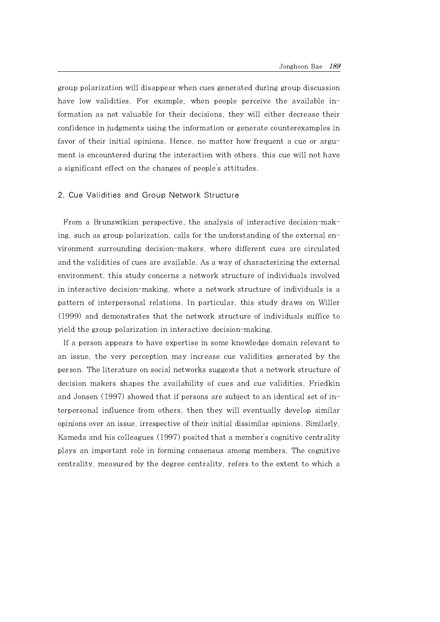group polarization will disappear when cues generated during group discussion have low validities. For example, when people perceive the available information as not valuable for their decisions, they will either decrease their confidence in judgments using the information or generate counterexamples in favor of their initial opinions. Hence, no matter how frequent a cue or argument is encountered during the interaction with others, this cue will not have a significant effect on the changes of people's attitudes.

#### 2. Cue Validities and Group Network Structure

From a Brunswikian perspective, the analysis of interactive decision-making, such as group polarization, calls for the understanding of the external environment surrounding decision-makers, where different cues are circulated and the validities of cues are available. As a way of characterizing the external environment, this study concerns a network structure of individuals involved in interactive decision-making, where a network structure of individuals is a pattern of interpersonal relations. In particular, this study draws on Willer (1999) and demonstrates that the network structure of individuals suffice to yield the group polarization in interactive decision-making.

If a person appears to have expertise in some knowledge domain relevant to an issue, the very perception may increase cue validities generated by the person. The literature on social networks suggests that a network structure of decision makers shapes the availability of cues and cue validities. Friedkin and Jonsen (1997) showed that if persons are subject to an identical set of interpersonal influence from others, then they will eventually develop similar opinions over an issue, irrespective of their initial dissimilar opinions. Similarly, Kameda and his colleagues (1997) posited that a member's cognitive centrality plays an important role in forming consensus among members. The cognitive centrality, measured by the degree centrality, refers to the extent to which a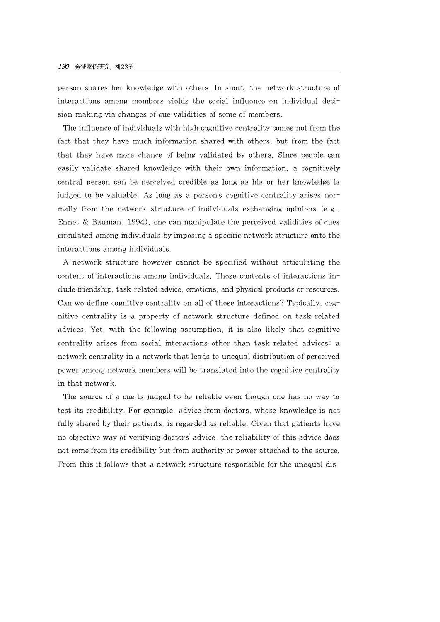person shares her knowledge with others. In short, the network structure of interactions among members yields the social influence on individual decision-making via changes of cue validities of some of members.

The influence of individuals with high cognitive centrality comes not from the fact that they have much information shared with others, but from the fact that they have more chance of being validated by others. Since people can easily validate shared knowledge with their own information, a cognitively central person can be perceived credible as long as his or her knowledge is judged to be valuable. As long as a person's cognitive centrality arises normally from the network structure of individuals exchanging opinions (e.g., Ennet & Bauman, 1994), one can manipulate the perceived validities of cues circulated among individuals by imposing a specific network structure onto the interactions among individuals.

A network structure however cannot be specified without articulating the content of interactions among individuals. These contents of interactions include friendship, task-related advice, emotions, and physical products or resources. Can we define cognitive centrality on all of these interactions? Typically, cognitive centrality is a property of network structure defined on task-related advices. Yet, with the following assumption, it is also likely that cognitive centrality arises from social interactions other than task-related advices: a network centrality in a network that leads to unequal distribution of perceived power among network members will be translated into the cognitive centrality in that network.

The source of a cue is judged to be reliable even though one has no way to test its credibility. For example, advice from doctors, whose knowledge is not fully shared by their patients, is regarded as reliable. Given that patients have no objective way of verifying doctors' advice, the reliability of this advice does not come from its credibility but from authority or power attached to the source. From this it follows that a network structure responsible for the unequal dis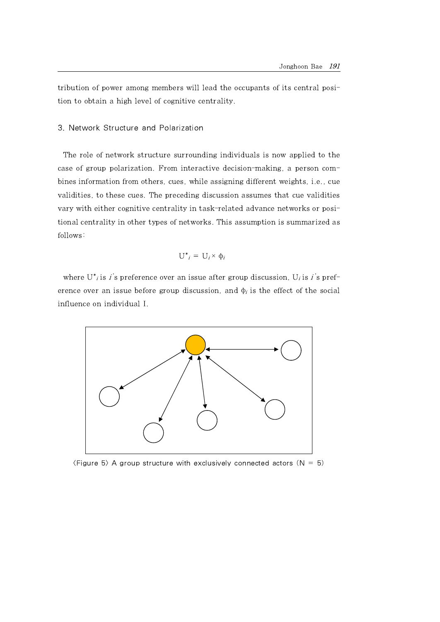tribution of power among members will lead the occupants of its central position to obtain a high level of cognitive centrality.

#### 3. Network Structure and Polarization

The role of network structure surrounding individuals is now applied to the case of group polarization. From interactive decision-making, a person combines information from others, cues, while assigning different weights, i.e., cue validities, to these cues. The preceding discussion assumes that cue validities vary with either cognitive centrality in task-related advance networks or positional centrality in other types of networks. This assumption is summarized as follows:

$$
U^*_{i} = U_i \times \Phi_i
$$

where  $U^*$  is i's preference over an issue after group discussion,  $U_i$  is i's preference over an issue before group discussion, and  $\Phi_i$  is the effect of the social influence on individual I.



 $\langle$  Figure 5 $\rangle$  A group structure with exclusively connected actors (N = 5)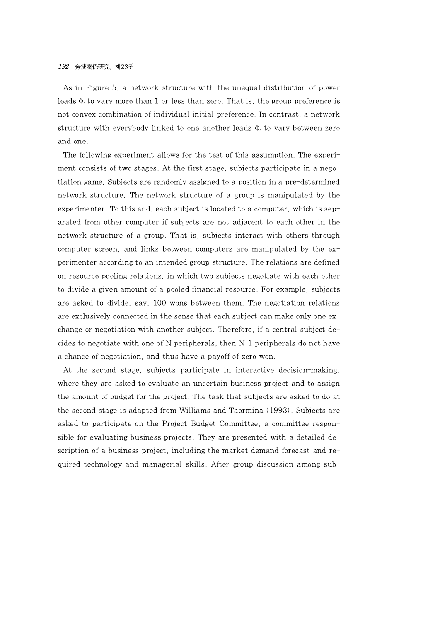As in Figure 5, a network structure with the unequal distribution of power leads  $\phi_i$  to vary more than 1 or less than zero. That is, the group preference is not convex combination of individual initial preference. In contrast, a network structure with everybody linked to one another leads  $\phi_i$  to vary between zero and one.

The following experiment allows for the test of this assumption. The experiment consists of two stages. At the first stage, subjects participate in a negotiation game. Subjects are randomly assigned to a position in a pre-determined network structure. The network structure of a group is manipulated by the experimenter. To this end, each subject is located to a computer, which is separated from other computer if subjects are not adjacent to each other in the network structure of a group. That is, subjects interact with others through computer screen, and links between computers are manipulated by the experimenter according to an intended group structure. The relations are defined on resource pooling relations, in which two subjects negotiate with each other to divide a given amount of a pooled financial resource. For example, subjects are asked to divide, say, 100 wons between them. The negotiation relations are exclusively connected in the sense that each subject can make only one exchange or negotiation with another subject. Therefore, if a central subject decides to negotiate with one of N peripherals, then N-1 peripherals do not have a chance of negotiation, and thus have a payoff of zero won.

At the second stage, subjects participate in interactive decision-making, where they are asked to evaluate an uncertain business project and to assign the amount of budget for the project. The task that subjects are asked to do at the second stage is adapted from Williams and Taormina (1993). Subjects are asked to participate on the Project Budget Committee, a committee responsible for evaluating business projects. They are presented with a detailed description of a business project, including the market demand forecast and required technology and managerial skills. After group discussion among sub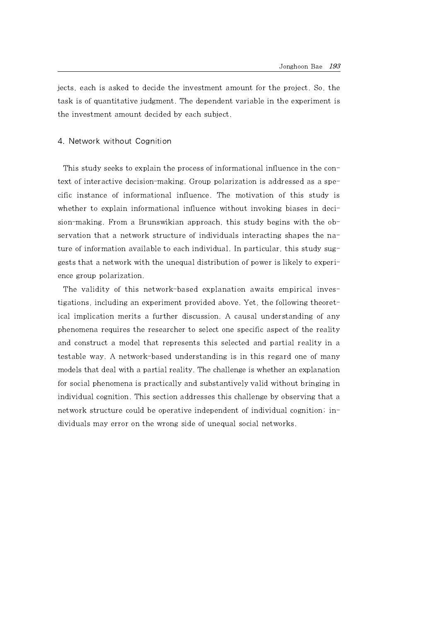jects, each is asked to decide the investment amount for the project. So, the task is of quantitative judgment. The dependent variable in the experiment is the investment amount decided by each subject.

#### 4. Network without Cognition

This study seeks to explain the process of informational influence in the context of interactive decision-making. Group polarization is addressed as a specific instance of informational influence. The motivation of this study is whether to explain informational influence without invoking biases in decision-making. From a Brunswikian approach, this study begins with the observation that a network structure of individuals interacting shapes the nature of information available to each individual. In particular, this study suggests that a network with the unequal distribution of power is likely to experience group polarization.

The validity of this network-based explanation awaits empirical investigations, including an experiment provided above. Yet, the following theoretical implication merits a further discussion. A causal understanding of any phenomena requires the researcher to select one specific aspect of the reality and construct a model that represents this selected and partial reality in a testable way. A network-based understanding is in this regard one of many models that deal with a partial reality. The challenge is whether an explanation for social phenomena is practically and substantively valid without bringing in individual cognition. This section addresses this challenge by observing that a network structure could be operative independent of individual cognition; individuals may error on the wrong side of unequal social networks.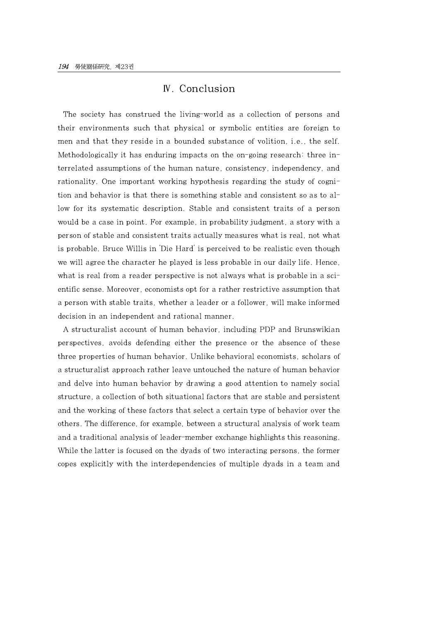## Ⅳ. Conclusion

The society has construed the living-world as a collection of persons and their environments such that physical or symbolic entities are foreign to men and that they reside in a bounded substance of volition, i.e., the self. Methodologically it has enduring impacts on the on-going research: three interrelated assumptions of the human nature, consistency, independency, and rationality. One important working hypothesis regarding the study of cognition and behavior is that there is something stable and consistent so as to allow for its systematic description. Stable and consistent traits of a person would be a case in point. For example, in probability judgment, a story with a person of stable and consistent traits actually measures what is real, not what is probable. Bruce Willis in 'Die Hard' is perceived to be realistic even though we will agree the character he played is less probable in our daily life. Hence, what is real from a reader perspective is not always what is probable in a scientific sense. Moreover, economists opt for a rather restrictive assumption that a person with stable traits, whether a leader or a follower, will make informed decision in an independent and rational manner.

A structuralist account of human behavior, including PDP and Brunswikian perspectives, avoids defending either the presence or the absence of these three properties of human behavior. Unlike behavioral economists, scholars of a structuralist approach rather leave untouched the nature of human behavior and delve into human behavior by drawing a good attention to namely social structure, a collection of both situational factors that are stable and persistent and the working of these factors that select a certain type of behavior over the others. The difference, for example, between a structural analysis of work team and a traditional analysis of leader-member exchange highlights this reasoning. While the latter is focused on the dyads of two interacting persons, the former copes explicitly with the interdependencies of multiple dyads in a team and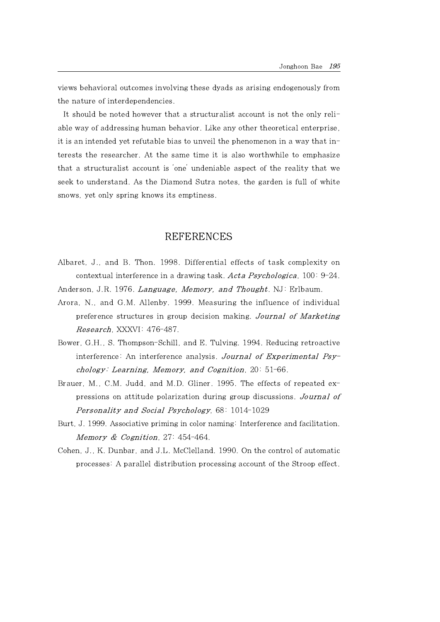views behavioral outcomes involving these dyads as arising endogenously from the nature of interdependencies.

It should be noted however that a structuralist account is not the only reliable way of addressing human behavior. Like any other theoretical enterprise, it is an intended yet refutable bias to unveil the phenomenon in a way that interests the researcher. At the same time it is also worthwhile to emphasize that a structuralist account is 'one' undeniable aspect of the reality that we seek to understand. As the Diamond Sutra notes, the garden is full of white snows, yet only spring knows its emptiness.

## **REFERENCES**

- Albaret, J., and B. Thon. 1998. Differential effects of task complexity on contextual interference in a drawing task. Acta Psychologica,  $100: 9-24$ .
- Anderson, J.R. 1976. Language, Memory, and Thought. NJ: Erlbaum.
- Arora, N., and G.M. Allenby. 1999. Measuring the influence of individual preference structures in group decision making. Journal of Marketing Research, XXXVI: 476-487.
- Bower, G.H., S. Thompson-Schill, and E. Tulving. 1994. Reducing retroactive interference: An interference analysis. Journal of Experimental Psychology: Learning, Memory, and Cognition,  $20:51-66$ .
- Brauer, M., C.M. Judd, and M.D. Gliner. 1995. The effects of repeated expressions on attitude polarization during group discussions. Journal of Personality and Social Psychology, 68: 1014-1029
- Burt, J. 1999. Associative priming in color naming: Interference and facilitation. Memory & Cognition,  $27:454-464$ .
- Cohen, J., K. Dunbar, and J.L. McClelland. 1990. On the control of automatic processes: A parallel distribution processing account of the Stroop effect.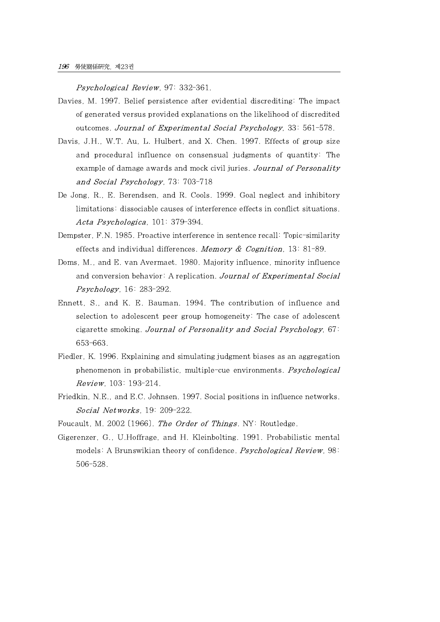Psychological Review, 97: 332-361.

- Davies, M. 1997. Belief persistence after evidential discrediting: The impact of generated versus provided explanations on the likelihood of discredited outcomes. Journal of Experimental Social Psychology, 33: 561-578.
- Davis, J.H., W.T. Au, L. Hulbert, and X. Chen. 1997. Effects of group size and procedural influence on consensual judgments of quantity: The example of damage awards and mock civil juries. Journal of Personality and Social Psychology, 73: 703-718
- De Jong, R., E. Berendsen, and R. Cools. 1999. Goal neglect and inhibitory limitations: dissociable causes of interference effects in conflict situations. Acta Psychologica, 101: 379-394.
- Dempster, F.N. 1985. Proactive interference in sentence recall: Topic-similarity effects and individual differences. Memory  $\&$  Cognition, 13: 81-89.
- Doms, M., and E. van Avermaet. 1980. Majority influence, minority influence and conversion behavior: A replication. Journal of Experimental Social Psychology, 16: 283-292.
- Ennett, S., and K.E. Bauman. 1994. The contribution of influence and selection to adolescent peer group homogeneity: The case of adolescent cigarette smoking. Journal of Personality and Social Psychology, 67: 653-663.
- Fiedler, K. 1996. Explaining and simulating judgment biases as an aggregation phenomenon in probabilistic, multiple-cue environments. **Psychological** Review, 103: 193-214.
- Friedkin, N.E., and E.C. Johnsen. 1997. Social positions in influence networks. Social Networks, 19: 209-222.
- Foucault, M. 2002 [1966]. The Order of Things. NY: Routledge.
- Gigerenzer, G., U.Hoffrage, and H. Kleinbolting. 1991. Probabilistic mental models: A Brunswikian theory of confidence. Psychological Review, 98: 506-528.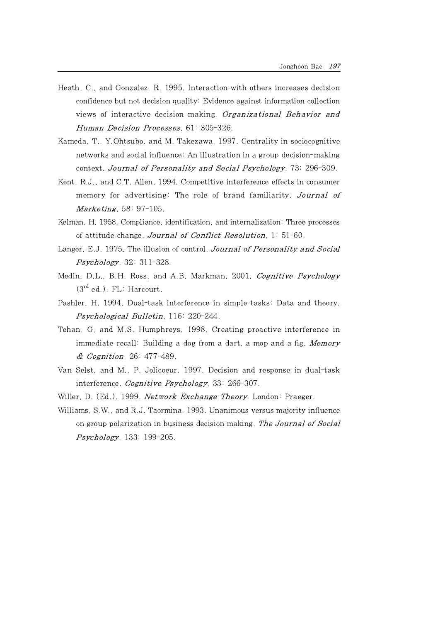- Heath, C., and Gonzalez, R. 1995. Interaction with others increases decision confidence but not decision quality: Evidence against information collection views of interactive decision making. Organizational Behavior and Human Decision Processes, 61: 305-326.
- Kameda, T., Y.Ohtsubo, and M. Takezawa. 1997. Centrality in sociocognitive networks and social influence: An illustration in a group decision-making context. Journal of Personality and Social Psychology, 73: 296-309.
- Kent, R.J., and C.T. Allen. 1994. Competitive interference effects in consumer memory for advertising: The role of brand familiarity. Journal of **Marketing**, 58: 97-105.
- Kelman, H. 1958. Compliance, identification, and internalization: Three processes of attitude change. Journal of Conflict Resolution,  $1: 51-60$ .
- Langer, E.J. 1975. The illusion of control. Journal of Personality and Social **Psychology**, 32: 311-328.
- Medin, D.L., B.H. Ross, and A.B. Markman. 2001. Cognitive Psychology  $(3<sup>rd</sup> ed.)$ . FL: Harcourt.
- Pashler, H. 1994. Dual-task interference in simple tasks: Data and theory. Psychological Bulletin, 116: 220-244.
- Tehan, G, and M.S. Humphreys. 1998. Creating proactive interference in immediate recall: Building a dog from a dart, a mop and a fig. Memory & Cognition, 26: 477-489.
- Van Selst, and M., P. Jolicoeur. 1997. Decision and response in dual-task interference. *Cognitive Psychology*, 33: 266-307.
- Willer, D. (Ed.). 1999. Network Exchange Theory. London: Praeger.
- Williams, S.W., and R.J. Taormina. 1993. Unanimous versus majority influence on group polarization in business decision making. The Journal of Social Psychology, 133: 199-205.